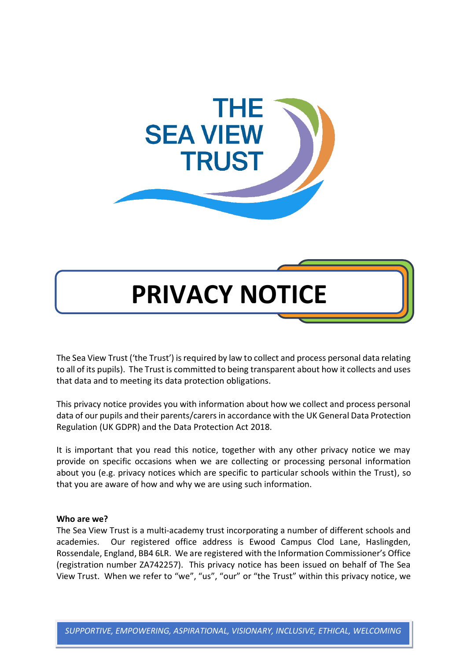

# **PRIVACY NOTICE**

The Sea View Trust ('the Trust') is required by law to collect and process personal data relating to all of its pupils). The Trust is committed to being transparent about how it collects and uses that data and to meeting its data protection obligations.

This privacy notice provides you with information about how we collect and process personal data of our pupils and their parents/carersin accordance with the UK General Data Protection Regulation (UK GDPR) and the Data Protection Act 2018.

It is important that you read this notice, together with any other privacy notice we may provide on specific occasions when we are collecting or processing personal information about you (e.g. privacy notices which are specific to particular schools within the Trust), so that you are aware of how and why we are using such information.

#### **Who are we?**

The Sea View Trust is a multi-academy trust incorporating a number of different schools and academies. Our registered office address is Ewood Campus Clod Lane, Haslingden, Rossendale, England, BB4 6LR. We are registered with the Information Commissioner's Office (registration number ZA742257). This privacy notice has been issued on behalf of The Sea View Trust. When we refer to "we", "us", "our" or "the Trust" within this privacy notice, we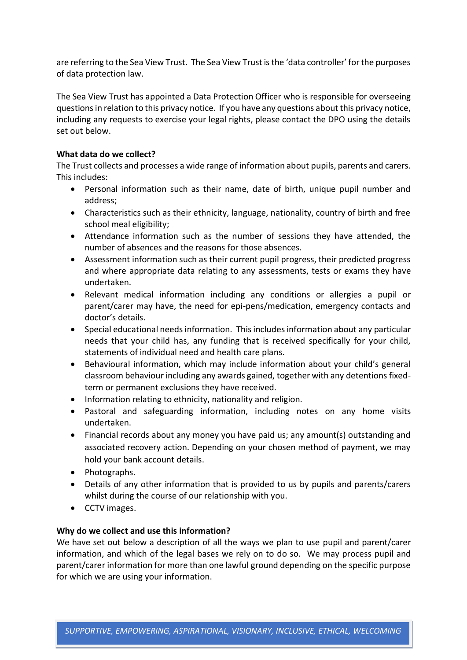are referring to the Sea View Trust. The Sea View Trust is the 'data controller' for the purposes of data protection law.

The Sea View Trust has appointed a Data Protection Officer who is responsible for overseeing questions in relation to this privacy notice. If you have any questions about this privacy notice, including any requests to exercise your legal rights, please contact the DPO using the details set out below.

## **What data do we collect?**

The Trust collects and processes a wide range of information about pupils, parents and carers. This includes:

- Personal information such as their name, date of birth, unique pupil number and address;
- Characteristics such as their ethnicity, language, nationality, country of birth and free school meal eligibility;
- Attendance information such as the number of sessions they have attended, the number of absences and the reasons for those absences.
- Assessment information such as their current pupil progress, their predicted progress and where appropriate data relating to any assessments, tests or exams they have undertaken.
- Relevant medical information including any conditions or allergies a pupil or parent/carer may have, the need for epi-pens/medication, emergency contacts and doctor's details.
- Special educational needs information. This includes information about any particular needs that your child has, any funding that is received specifically for your child, statements of individual need and health care plans.
- Behavioural information, which may include information about your child's general classroom behaviour including any awards gained, together with any detentions fixedterm or permanent exclusions they have received.
- Information relating to ethnicity, nationality and religion.
- Pastoral and safeguarding information, including notes on any home visits undertaken.
- Financial records about any money you have paid us; any amount(s) outstanding and associated recovery action. Depending on your chosen method of payment, we may hold your bank account details.
- Photographs.
- Details of any other information that is provided to us by pupils and parents/carers whilst during the course of our relationship with you.
- CCTV images.

# **Why do we collect and use this information?**

We have set out below a description of all the ways we plan to use pupil and parent/carer information, and which of the legal bases we rely on to do so. We may process pupil and parent/carer information for more than one lawful ground depending on the specific purpose for which we are using your information.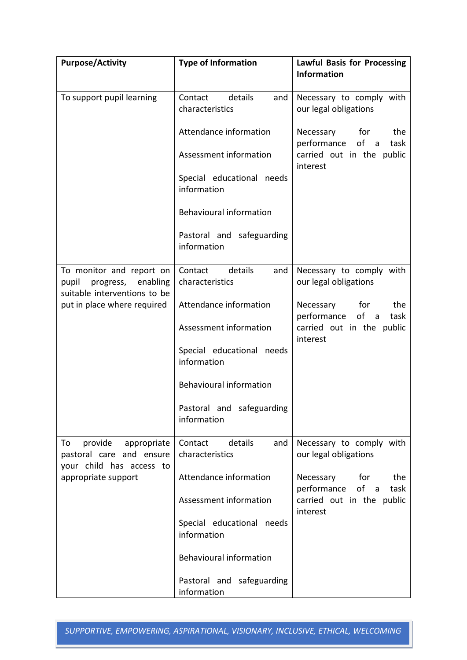| <b>Purpose/Activity</b>                                                                                     | <b>Type of Information</b>                   | <b>Lawful Basis for Processing</b><br><b>Information</b> |
|-------------------------------------------------------------------------------------------------------------|----------------------------------------------|----------------------------------------------------------|
|                                                                                                             |                                              |                                                          |
| To support pupil learning                                                                                   | details<br>Contact<br>and<br>characteristics | Necessary to comply with<br>our legal obligations        |
|                                                                                                             | Attendance information                       | Necessary<br>for<br>the<br>performance of a<br>task      |
|                                                                                                             | Assessment information                       | carried out in the public<br>interest                    |
|                                                                                                             | Special educational needs<br>information     |                                                          |
|                                                                                                             | Behavioural information                      |                                                          |
|                                                                                                             | Pastoral and safeguarding<br>information     |                                                          |
| To monitor and report on<br>enabling<br>pupil<br>progress,<br>suitable interventions to be                  | details<br>Contact<br>and<br>characteristics | Necessary to comply with<br>our legal obligations        |
| put in place where required                                                                                 | Attendance information                       | Necessary<br>for<br>the<br>of a<br>performance<br>task   |
|                                                                                                             | Assessment information                       | carried out in the public<br>interest                    |
|                                                                                                             | Special educational needs<br>information     |                                                          |
|                                                                                                             | <b>Behavioural information</b>               |                                                          |
|                                                                                                             | Pastoral and safeguarding<br>information     |                                                          |
| provide<br>appropriate<br>To<br>pastoral care and ensure<br>your child has access to<br>appropriate support | Contact<br>details<br>and<br>characteristics | Necessary to comply with<br>our legal obligations        |
|                                                                                                             | Attendance information                       | Necessary<br>for<br>the<br>performance<br>of a<br>task   |
|                                                                                                             | Assessment information                       | carried out in the public<br>interest                    |
|                                                                                                             | Special educational needs<br>information     |                                                          |
|                                                                                                             | Behavioural information                      |                                                          |
|                                                                                                             | Pastoral and safeguarding<br>information     |                                                          |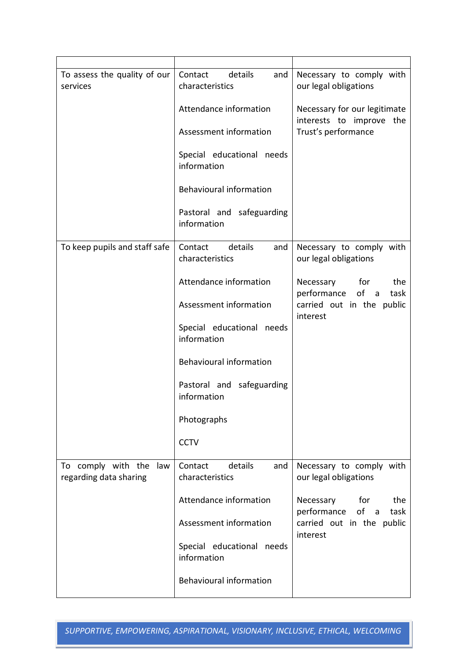| To assess the quality of our<br>services            | details<br>Contact<br>and<br>characteristics | Necessary to comply with<br>our legal obligations        |
|-----------------------------------------------------|----------------------------------------------|----------------------------------------------------------|
|                                                     | Attendance information                       | Necessary for our legitimate<br>interests to improve the |
|                                                     | Assessment information                       | Trust's performance                                      |
|                                                     | Special educational needs<br>information     |                                                          |
|                                                     | Behavioural information                      |                                                          |
|                                                     | Pastoral and safeguarding<br>information     |                                                          |
| To keep pupils and staff safe                       | details<br>Contact<br>and<br>characteristics | Necessary to comply with<br>our legal obligations        |
|                                                     | Attendance information                       | Necessary<br>for<br>the<br>performance<br>of a<br>task   |
|                                                     | Assessment information                       | carried out in the public<br>interest                    |
|                                                     | Special educational needs<br>information     |                                                          |
|                                                     | Behavioural information                      |                                                          |
|                                                     | Pastoral and safeguarding<br>information     |                                                          |
|                                                     | Photographs                                  |                                                          |
|                                                     | <b>CCTV</b>                                  |                                                          |
| To comply with the<br>law<br>regarding data sharing | details<br>Contact<br>and<br>characteristics | Necessary to comply with<br>our legal obligations        |
|                                                     | Attendance information                       | Necessary<br>for<br>the<br>of a<br>task                  |
|                                                     | Assessment information                       | performance<br>carried out in the public<br>interest     |
|                                                     | Special educational needs<br>information     |                                                          |
|                                                     | Behavioural information                      |                                                          |

*SUPPORTIVE, EMPOWERING, ASPIRATIONAL, VISIONARY, INCLUSIVE, ETHICAL, WELCOMING*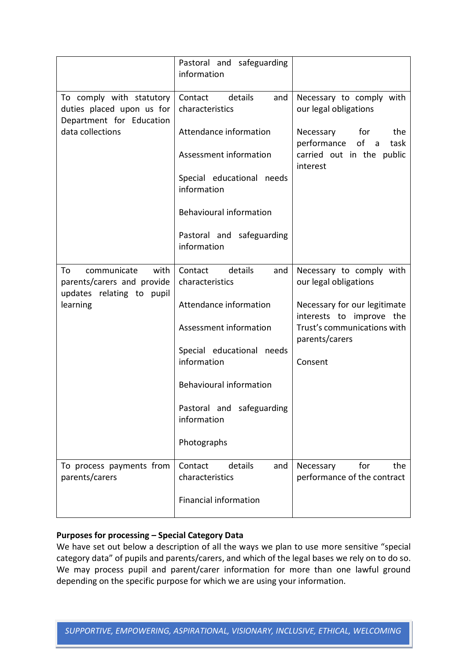|                                                                                                       | Pastoral and safeguarding<br>information     |                                                          |
|-------------------------------------------------------------------------------------------------------|----------------------------------------------|----------------------------------------------------------|
| To comply with statutory<br>duties placed upon us for<br>Department for Education<br>data collections | details<br>Contact<br>and<br>characteristics | Necessary to comply with<br>our legal obligations        |
|                                                                                                       | Attendance information                       | Necessary for<br>the<br>of a<br>performance<br>task      |
|                                                                                                       | Assessment information                       | carried out in the public<br>interest                    |
|                                                                                                       | Special educational needs<br>information     |                                                          |
|                                                                                                       | <b>Behavioural information</b>               |                                                          |
|                                                                                                       | Pastoral and safeguarding<br>information     |                                                          |
| To<br>communicate<br>with<br>parents/carers and provide<br>updates relating to pupil                  | details<br>Contact<br>and<br>characteristics | Necessary to comply with<br>our legal obligations        |
| learning                                                                                              | Attendance information                       | Necessary for our legitimate<br>interests to improve the |
|                                                                                                       | Assessment information                       | Trust's communications with<br>parents/carers            |
|                                                                                                       | Special educational needs<br>information     | Consent                                                  |
|                                                                                                       | <b>Behavioural information</b>               |                                                          |
|                                                                                                       | Pastoral and safeguarding<br>information     |                                                          |
|                                                                                                       | Photographs                                  |                                                          |
| To process payments from<br>parents/carers                                                            | Contact<br>details<br>and<br>characteristics | for<br>the<br>Necessary<br>performance of the contract   |
|                                                                                                       | <b>Financial information</b>                 |                                                          |

# **Purposes for processing – Special Category Data**

We have set out below a description of all the ways we plan to use more sensitive "special category data" of pupils and parents/carers, and which of the legal bases we rely on to do so. We may process pupil and parent/carer information for more than one lawful ground depending on the specific purpose for which we are using your information.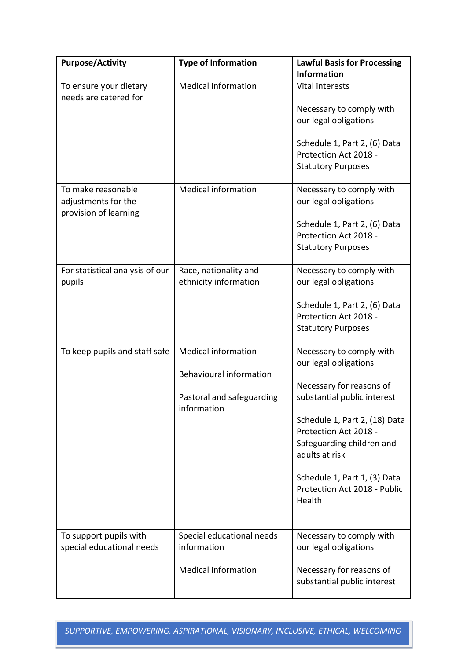| <b>Purpose/Activity</b>                         | <b>Type of Information</b> | <b>Lawful Basis for Processing</b>     |
|-------------------------------------------------|----------------------------|----------------------------------------|
|                                                 |                            | <b>Information</b>                     |
| To ensure your dietary<br>needs are catered for | <b>Medical information</b> | <b>Vital interests</b>                 |
|                                                 |                            | Necessary to comply with               |
|                                                 |                            | our legal obligations                  |
|                                                 |                            |                                        |
|                                                 |                            | Schedule 1, Part 2, (6) Data           |
|                                                 |                            | Protection Act 2018 -                  |
|                                                 |                            | <b>Statutory Purposes</b>              |
| To make reasonable                              | <b>Medical information</b> | Necessary to comply with               |
| adjustments for the                             |                            | our legal obligations                  |
| provision of learning                           |                            |                                        |
|                                                 |                            | Schedule 1, Part 2, (6) Data           |
|                                                 |                            | Protection Act 2018 -                  |
|                                                 |                            | <b>Statutory Purposes</b>              |
| For statistical analysis of our                 | Race, nationality and      | Necessary to comply with               |
| pupils                                          | ethnicity information      | our legal obligations                  |
|                                                 |                            |                                        |
|                                                 |                            | Schedule 1, Part 2, (6) Data           |
|                                                 |                            | Protection Act 2018 -                  |
|                                                 |                            | <b>Statutory Purposes</b>              |
| To keep pupils and staff safe                   | <b>Medical information</b> | Necessary to comply with               |
|                                                 |                            | our legal obligations                  |
|                                                 | Behavioural information    |                                        |
|                                                 |                            | Necessary for reasons of               |
|                                                 | Pastoral and safeguarding  | substantial public interest            |
|                                                 | information                | Schedule 1, Part 2, (18) Data          |
|                                                 |                            | Protection Act 2018 -                  |
|                                                 |                            | Safeguarding children and              |
|                                                 |                            | adults at risk                         |
|                                                 |                            |                                        |
|                                                 |                            | Schedule 1, Part 1, (3) Data           |
|                                                 |                            | Protection Act 2018 - Public<br>Health |
|                                                 |                            |                                        |
|                                                 |                            |                                        |
| To support pupils with                          | Special educational needs  | Necessary to comply with               |
| special educational needs                       | information                | our legal obligations                  |
|                                                 | <b>Medical information</b> | Necessary for reasons of               |
|                                                 |                            | substantial public interest            |
|                                                 |                            |                                        |

*SUPPORTIVE, EMPOWERING, ASPIRATIONAL, VISIONARY, INCLUSIVE, ETHICAL, WELCOMING*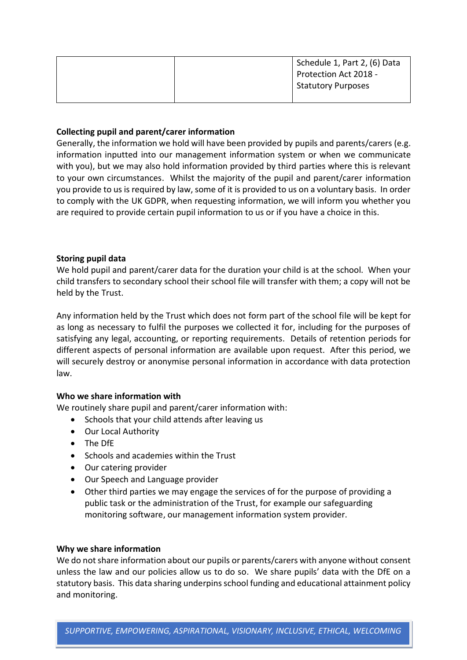|  | Schedule 1, Part 2, (6) Data |
|--|------------------------------|
|  | Protection Act 2018 -        |
|  | <b>Statutory Purposes</b>    |
|  |                              |

### **Collecting pupil and parent/carer information**

Generally, the information we hold will have been provided by pupils and parents/carers (e.g. information inputted into our management information system or when we communicate with you), but we may also hold information provided by third parties where this is relevant to your own circumstances. Whilst the majority of the pupil and parent/carer information you provide to us is required by law, some of it is provided to us on a voluntary basis. In order to comply with the UK GDPR, when requesting information, we will inform you whether you are required to provide certain pupil information to us or if you have a choice in this.

## **Storing pupil data**

We hold pupil and parent/carer data for the duration your child is at the school. When your child transfers to secondary school their school file will transfer with them; a copy will not be held by the Trust.

Any information held by the Trust which does not form part of the school file will be kept for as long as necessary to fulfil the purposes we collected it for, including for the purposes of satisfying any legal, accounting, or reporting requirements. Details of retention periods for different aspects of personal information are available upon request. After this period, we will securely destroy or anonymise personal information in accordance with data protection law.

#### **Who we share information with**

We routinely share pupil and parent/carer information with:

- Schools that your child attends after leaving us
- Our Local Authority
- The DfE
- Schools and academies within the Trust
- Our catering provider
- Our Speech and Language provider
- Other third parties we may engage the services of for the purpose of providing a public task or the administration of the Trust, for example our safeguarding monitoring software, our management information system provider.

#### **Why we share information**

We do not share information about our pupils or parents/carers with anyone without consent unless the law and our policies allow us to do so. We share pupils' data with the DfE on a statutory basis. This data sharing underpins school funding and educational attainment policy and monitoring.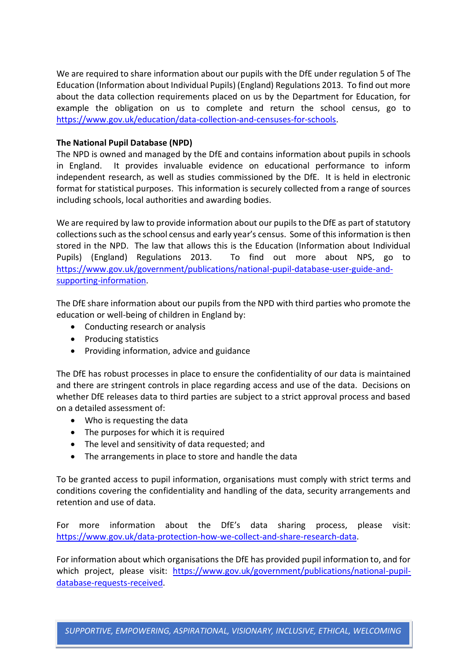We are required to share information about our pupils with the DfE under regulation 5 of The Education (Information about Individual Pupils) (England) Regulations 2013. To find out more about the data collection requirements placed on us by the Department for Education, for example the obligation on us to complete and return the school census, go to [https://www.gov.uk/education/data-collection-and-censuses-for-schools.](https://www.gov.uk/education/data-collection-and-censuses-for-schools)

## **The National Pupil Database (NPD)**

The NPD is owned and managed by the DfE and contains information about pupils in schools in England. It provides invaluable evidence on educational performance to inform independent research, as well as studies commissioned by the DfE. It is held in electronic format for statistical purposes. This information is securely collected from a range of sources including schools, local authorities and awarding bodies.

We are required by law to provide information about our pupils to the DfE as part of statutory collections such as the school census and early year's census. Some of this information is then stored in the NPD. The law that allows this is the Education (Information about Individual Pupils) (England) Regulations 2013. To find out more about NPS, go to [https://www.gov.uk/government/publications/national-pupil-database-user-guide-and](https://www.gov.uk/government/publications/national-pupil-database-user-guide-and-supporting-information)[supporting-information.](https://www.gov.uk/government/publications/national-pupil-database-user-guide-and-supporting-information)

The DfE share information about our pupils from the NPD with third parties who promote the education or well-being of children in England by:

- Conducting research or analysis
- Producing statistics
- Providing information, advice and guidance

The DfE has robust processes in place to ensure the confidentiality of our data is maintained and there are stringent controls in place regarding access and use of the data. Decisions on whether DfE releases data to third parties are subject to a strict approval process and based on a detailed assessment of:

- Who is requesting the data
- The purposes for which it is required
- The level and sensitivity of data requested; and
- The arrangements in place to store and handle the data

To be granted access to pupil information, organisations must comply with strict terms and conditions covering the confidentiality and handling of the data, security arrangements and retention and use of data.

For more information about the DfE's data sharing process, please visit: [https://www.gov.uk/data-protection-how-we-collect-and-share-research-data.](https://www.gov.uk/data-protection-how-we-collect-and-share-research-data)

For information about which organisations the DfE has provided pupil information to, and for which project, please visit: [https://www.gov.uk/government/publications/national-pupil](https://www.gov.uk/government/publications/national-pupil-database-requests-received)[database-requests-received.](https://www.gov.uk/government/publications/national-pupil-database-requests-received)